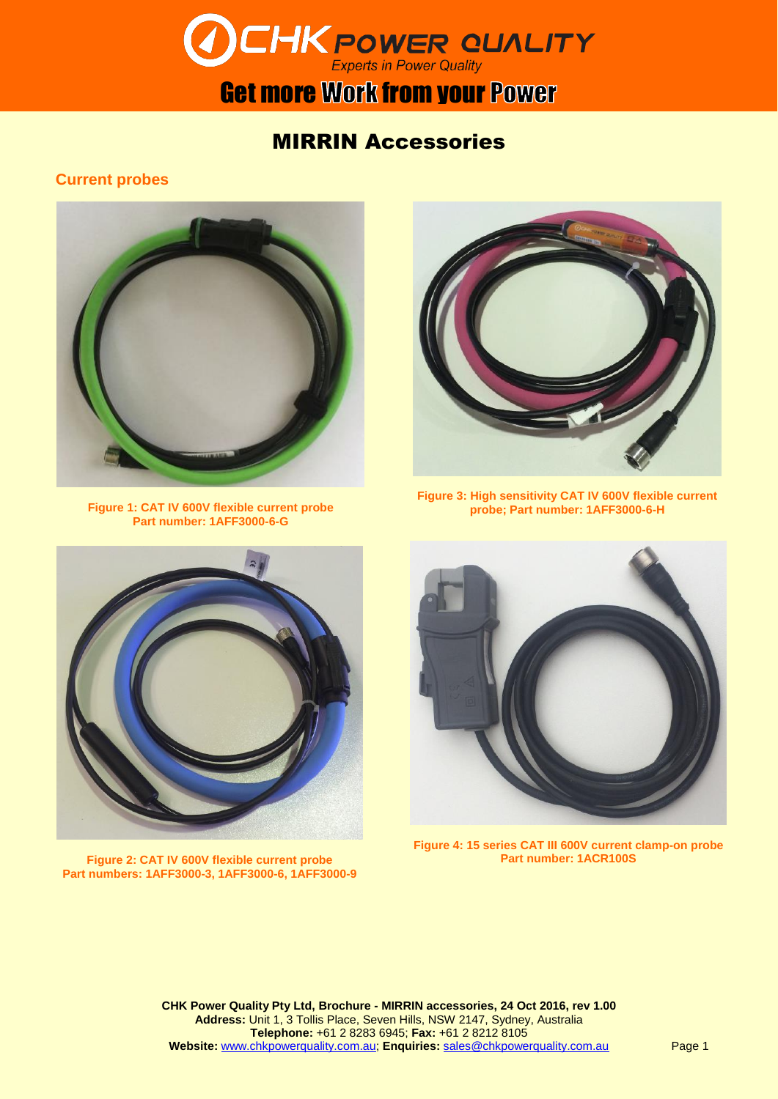

### **Get more Work from your Power**

### MIRRIN Accessories

**Current probes**



**Figure 1: CAT IV 600V flexible current probe Part number: 1AFF3000-6-G**



**Figure 3: High sensitivity CAT IV 600V flexible current probe; Part number: 1AFF3000-6-H**



**Figure 2: CAT IV 600V flexible current probe Part numbers: 1AFF3000-3, 1AFF3000-6, 1AFF3000-9**



**Figure 4: 15 series CAT III 600V current clamp-on probe Part number: 1ACR100S**

**CHK Power Quality Pty Ltd, Brochure - MIRRIN accessories, 24 Oct 2016, rev 1.00 Address:** Unit 1, 3 Tollis Place, Seven Hills, NSW 2147, Sydney, Australia **Telephone:** +61 2 8283 6945; **Fax:** +61 2 8212 8105 **Website:** [www.chkpowerquality.com.au;](http://www.chkpowerquality.com.au/) **Enquiries:** [sales@chkpowerquality.com.au](mailto:sales@chkpowerquality.com.au)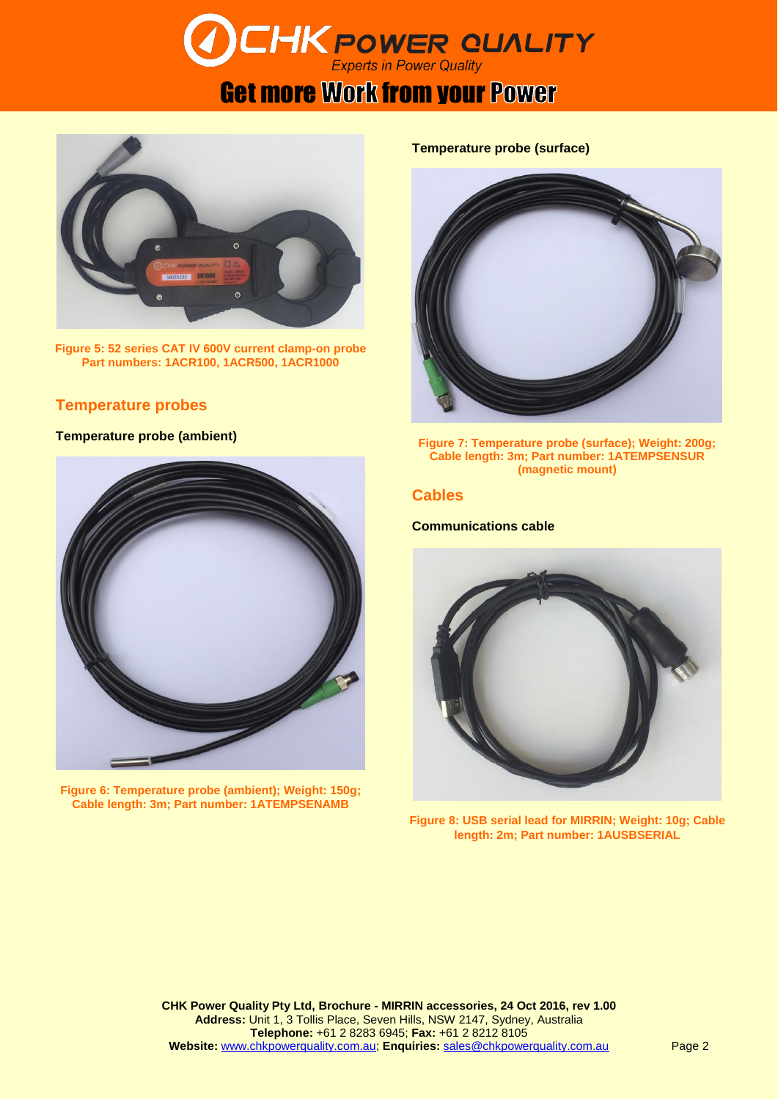# **DCHK POWER QUALITY**

## Get more Work from your Power



**Figure 5: 52 series CAT IV 600V current clamp-on probe Part numbers: 1ACR100, 1ACR500, 1ACR1000**

#### **Temperature probes**

#### **Temperature probe (ambient)**



**Figure 6: Temperature probe (ambient); Weight: 150g; Cable length: 3m; Part number: 1ATEMPSENAMB**

#### **Temperature probe (surface)**



**Figure 7: Temperature probe (surface); Weight: 200g; Cable length: 3m; Part number: 1ATEMPSENSUR (magnetic mount)**

#### **Cables**

#### **Communications cable**



**Figure 8: USB serial lead for MIRRIN; Weight: 10g; Cable length: 2m; Part number: 1AUSBSERIAL**